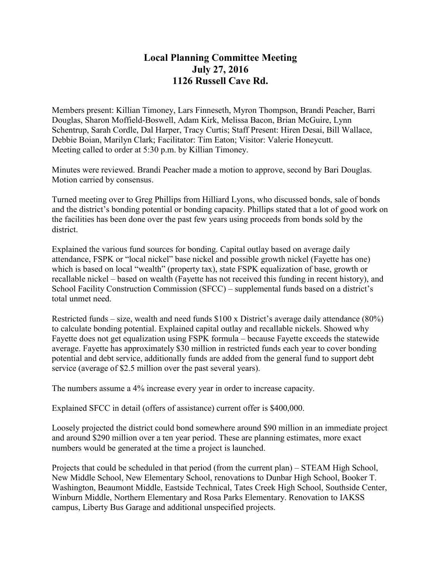## **Local Planning Committee Meeting July 27, 2016 1126 Russell Cave Rd.**

Members present: Killian Timoney, Lars Finneseth, Myron Thompson, Brandi Peacher, Barri Douglas, Sharon Moffield-Boswell, Adam Kirk, Melissa Bacon, Brian McGuire, Lynn Schentrup, Sarah Cordle, Dal Harper, Tracy Curtis; Staff Present: Hiren Desai, Bill Wallace, Debbie Boian, Marilyn Clark; Facilitator: Tim Eaton; Visitor: Valerie Honeycutt. Meeting called to order at 5:30 p.m. by Killian Timoney.

Minutes were reviewed. Brandi Peacher made a motion to approve, second by Bari Douglas. Motion carried by consensus.

Turned meeting over to Greg Phillips from Hilliard Lyons, who discussed bonds, sale of bonds and the district's bonding potential or bonding capacity. Phillips stated that a lot of good work on the facilities has been done over the past few years using proceeds from bonds sold by the district.

Explained the various fund sources for bonding. Capital outlay based on average daily attendance, FSPK or "local nickel" base nickel and possible growth nickel (Fayette has one) which is based on local "wealth" (property tax), state FSPK equalization of base, growth or recallable nickel – based on wealth (Fayette has not received this funding in recent history), and School Facility Construction Commission (SFCC) – supplemental funds based on a district's total unmet need.

Restricted funds – size, wealth and need funds \$100 x District's average daily attendance (80%) to calculate bonding potential. Explained capital outlay and recallable nickels. Showed why Fayette does not get equalization using FSPK formula – because Fayette exceeds the statewide average. Fayette has approximately \$30 million in restricted funds each year to cover bonding potential and debt service, additionally funds are added from the general fund to support debt service (average of \$2.5 million over the past several years).

The numbers assume a 4% increase every year in order to increase capacity.

Explained SFCC in detail (offers of assistance) current offer is \$400,000.

Loosely projected the district could bond somewhere around \$90 million in an immediate project and around \$290 million over a ten year period. These are planning estimates, more exact numbers would be generated at the time a project is launched.

Projects that could be scheduled in that period (from the current plan) – STEAM High School, New Middle School, New Elementary School, renovations to Dunbar High School, Booker T. Washington, Beaumont Middle, Eastside Technical, Tates Creek High School, Southside Center, Winburn Middle, Northern Elementary and Rosa Parks Elementary. Renovation to IAKSS campus, Liberty Bus Garage and additional unspecified projects.